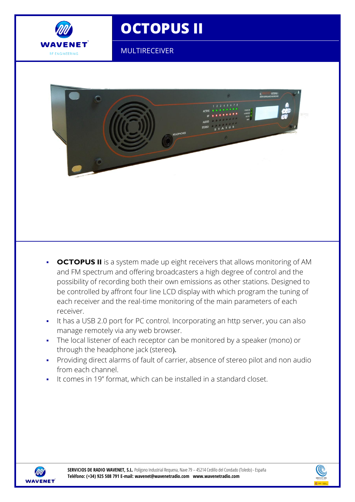

## **OCTOPUS II**

MULTIRECEIVER



- **OCTOPUS II** is a system made up eight receivers that allows monitoring of AM and FM spectrum and offering broadcasters a high degree of control and the possibility of recording both their own emissions as other stations. Designed to be controlled by affront four line LCD display with which program the tuning of each receiver and the real-time monitoring of the main parameters of each receiver.
- It has a USB 2.0 port for PC control. Incorporating an http server, you can also manage remotely via any web browser.
- The local listener of each receptor can be monitored by a speaker (mono) or through the headphone jack (stereo).
- Providing direct alarms of fault of carrier, absence of stereo pilot and non audio from each channel.
- It comes in 19" format, which can be installed in a standard closet.